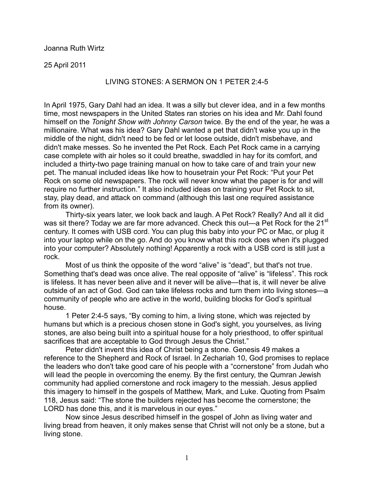Joanna Ruth Wirtz

25 April 2011

## LIVING STONES: A SERMON ON 1 PETER 2:4-5

In April 1975, Gary Dahl had an idea. It was a silly but clever idea, and in a few months time, most newspapers in the United States ran stories on his idea and Mr. Dahl found himself on the *Tonight Show with Johnny Carson* twice. By the end of the year, he was a millionaire. What was his idea? Gary Dahl wanted a pet that didn't wake you up in the middle of the night, didn't need to be fed or let loose outside, didn't misbehave, and didn't make messes. So he invented the Pet Rock. Each Pet Rock came in a carrying case complete with air holes so it could breathe, swaddled in hay for its comfort, and included a thirty-two page training manual on how to take care of and train your new pet. The manual included ideas like how to housetrain your Pet Rock: "Put your Pet Rock on some old newspapers. The rock will never know what the paper is for and will require no further instruction." It also included ideas on training your Pet Rock to sit, stay, play dead, and attack on command (although this last one required assistance from its owner).

 Thirty-six years later, we look back and laugh. A Pet Rock? Really? And all it did was sit there? Today we are far more advanced. Check this out—a Pet Rock for the 21<sup>st</sup> century. It comes with USB cord. You can plug this baby into your PC or Mac, or plug it into your laptop while on the go. And do you know what this rock does when it's plugged into your computer? Absolutely nothing! Apparently a rock with a USB cord is still just a rock.

 Most of us think the opposite of the word "alive" is "dead", but that's not true. Something that's dead was once alive. The real opposite of "alive" is "lifeless". This rock is lifeless. It has never been alive and it never will be alive—that is, it will never be alive outside of an act of God. God can take lifeless rocks and turn them into living stones—a community of people who are active in the world, building blocks for God's spiritual house.

 1 Peter 2:4-5 says, "By coming to him, a living stone, which was rejected by humans but which is a precious chosen stone in God's sight, you yourselves, as living stones, are also being built into a spiritual house for a holy priesthood, to offer spiritual sacrifices that are acceptable to God through Jesus the Christ."

 Peter didn't invent this idea of Christ being a stone. Genesis 49 makes a reference to the Shepherd and Rock of Israel. In Zechariah 10, God promises to replace the leaders who don't take good care of his people with a "cornerstone" from Judah who will lead the people in overcoming the enemy. By the first century, the Qumran Jewish community had applied cornerstone and rock imagery to the messiah. Jesus applied this imagery to himself in the gospels of Matthew, Mark, and Luke. Quoting from Psalm 118, Jesus said: "The stone the builders rejected has become the cornerstone; the LORD has done this, and it is marvelous in our eyes."

 Now since Jesus described himself in the gospel of John as living water and living bread from heaven, it only makes sense that Christ will not only be a stone, but a living stone.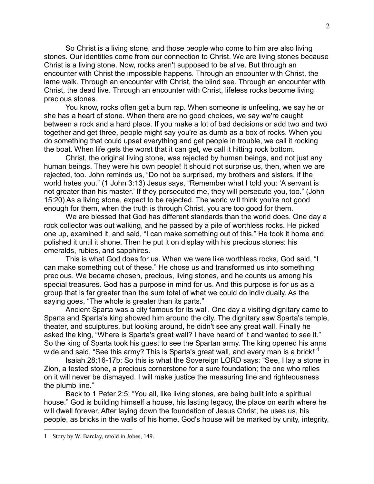So Christ is a living stone, and those people who come to him are also living stones. Our identities come from our connection to Christ. We are living stones because Christ is a living stone. Now, rocks aren't supposed to be alive. But through an encounter with Christ the impossible happens. Through an encounter with Christ, the lame walk. Through an encounter with Christ, the blind see. Through an encounter with Christ, the dead live. Through an encounter with Christ, lifeless rocks become living precious stones.

 You know, rocks often get a bum rap. When someone is unfeeling, we say he or she has a heart of stone. When there are no good choices, we say we're caught between a rock and a hard place. If you make a lot of bad decisions or add two and two together and get three, people might say you're as dumb as a box of rocks. When you do something that could upset everything and get people in trouble, we call it rocking the boat. When life gets the worst that it can get, we call it hitting rock bottom.

 Christ, the original living stone, was rejected by human beings, and not just any human beings. They were his own people! It should not surprise us, then, when we are rejected, too. John reminds us, "Do not be surprised, my brothers and sisters, if the world hates you." (1 John 3:13) Jesus says, "Remember what I told you: 'A servant is not greater than his master.' If they persecuted me, they will persecute you, too." (John 15:20) As a living stone, expect to be rejected. The world will think you're not good enough for them, when the truth is through Christ, you are too good for them.

 We are blessed that God has different standards than the world does. One day a rock collector was out walking, and he passed by a pile of worthless rocks. He picked one up, examined it, and said, "I can make something out of this." He took it home and polished it until it shone. Then he put it on display with his precious stones: his emeralds, rubies, and sapphires.

 This is what God does for us. When we were like worthless rocks, God said, "I can make something out of these." He chose us and transformed us into something precious. We became chosen, precious, living stones, and he counts us among his special treasures. God has a purpose in mind for us. And this purpose is for us as a group that is far greater than the sum total of what we could do individually. As the saying goes, "The whole is greater than its parts."

 Ancient Sparta was a city famous for its wall. One day a visiting dignitary came to Sparta and Sparta's king showed him around the city. The dignitary saw Sparta's temple, theater, and sculptures, but looking around, he didn't see any great wall. Finally he asked the king, "Where is Sparta's great wall? I have heard of it and wanted to see it." So the king of Sparta took his guest to see the Spartan army. The king opened his arms wide and said, "See this army? This is Sparta's great wall, and every man is a brick!"<sup>1</sup>

 Isaiah 28:16-17b: So this is what the Sovereign LORD says: "See, I lay a stone in Zion, a tested stone, a precious cornerstone for a sure foundation; the one who relies on it will never be dismayed. I will make justice the measuring line and righteousness the plumb line."

 Back to 1 Peter 2:5: "You all, like living stones, are being built into a spiritual house." God is building himself a house, his lasting legacy, the place on earth where he will dwell forever. After laying down the foundation of Jesus Christ, he uses us, his people, as bricks in the walls of his home. God's house will be marked by unity, integrity,

 $\overline{a}$ 

<sup>1</sup> Story by W. Barclay, retold in Jobes, 149.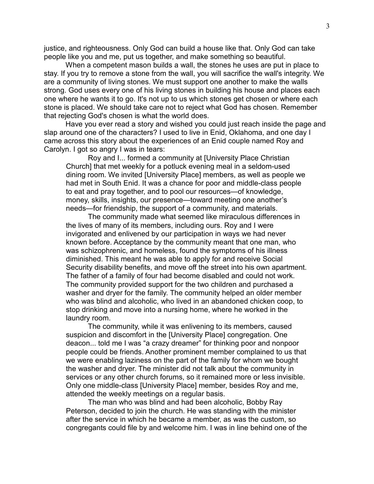justice, and righteousness. Only God can build a house like that. Only God can take people like you and me, put us together, and make something so beautiful.

 When a competent mason builds a wall, the stones he uses are put in place to stay. If you try to remove a stone from the wall, you will sacrifice the wall's integrity. We are a community of living stones. We must support one another to make the walls strong. God uses every one of his living stones in building his house and places each one where he wants it to go. It's not up to us which stones get chosen or where each stone is placed. We should take care not to reject what God has chosen. Remember that rejecting God's chosen is what the world does.

 Have you ever read a story and wished you could just reach inside the page and slap around one of the characters? I used to live in Enid, Oklahoma, and one day I came across this story about the experiences of an Enid couple named Roy and Carolyn. I got so angry I was in tears:

Roy and I... formed a community at [University Place Christian Church] that met weekly for a potluck evening meal in a seldom-used dining room. We invited [University Place] members, as well as people we had met in South Enid. It was a chance for poor and middle-class people to eat and pray together, and to pool our resources—of knowledge, money, skills, insights, our presence—toward meeting one another's needs—for friendship, the support of a community, and materials.

The community made what seemed like miraculous differences in the lives of many of its members, including ours. Roy and I were invigorated and enlivened by our participation in ways we had never known before. Acceptance by the community meant that one man, who was schizophrenic, and homeless, found the symptoms of his illness diminished. This meant he was able to apply for and receive Social Security disability benefits, and move off the street into his own apartment. The father of a family of four had become disabled and could not work. The community provided support for the two children and purchased a washer and dryer for the family. The community helped an older member who was blind and alcoholic, who lived in an abandoned chicken coop, to stop drinking and move into a nursing home, where he worked in the laundry room.

The community, while it was enlivening to its members, caused suspicion and discomfort in the [University Place] congregation. One deacon... told me I was "a crazy dreamer" for thinking poor and nonpoor people could be friends. Another prominent member complained to us that we were enabling laziness on the part of the family for whom we bought the washer and dryer. The minister did not talk about the community in services or any other church forums, so it remained more or less invisible. Only one middle-class [University Place] member, besides Roy and me, attended the weekly meetings on a regular basis.

The man who was blind and had been alcoholic, Bobby Ray Peterson, decided to join the church. He was standing with the minister after the service in which he became a member, as was the custom, so congregants could file by and welcome him. I was in line behind one of the